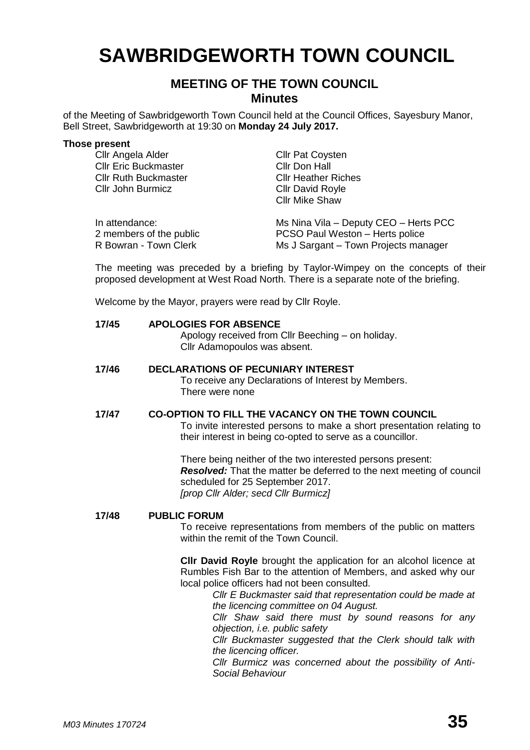# **SAWBRIDGEWORTH TOWN COUNCIL**

## **MEETING OF THE TOWN COUNCIL Minutes**

of the Meeting of Sawbridgeworth Town Council held at the Council Offices, Sayesbury Manor, Bell Street, Sawbridgeworth at 19:30 on **Monday 24 July 2017.**

#### **Those present**

| Cllr Angela Alder           | <b>Cllr Pat Coysten</b>               |
|-----------------------------|---------------------------------------|
| <b>Cllr Eric Buckmaster</b> | Cllr Don Hall                         |
| <b>Cllr Ruth Buckmaster</b> | <b>CIIr Heather Riches</b>            |
| Cllr John Burmicz           | <b>Cllr David Royle</b>               |
|                             | <b>Cllr Mike Shaw</b>                 |
| In attendance:              | Ms Nina Vila - Deputy CEO - Herts PCC |
| 2 members of the public     | PCSO Paul Weston - Herts police       |
| R Bowran - Town Clerk       | Ms J Sargant - Town Projects manager  |

The meeting was preceded by a briefing by Taylor-Wimpey on the concepts of their proposed development at West Road North. There is a separate note of the briefing.

Welcome by the Mayor, prayers were read by Cllr Royle.

### **17/45 APOLOGIES FOR ABSENCE** Apology received from Cllr Beeching – on holiday. Cllr Adamopoulos was absent.

**17/46 DECLARATIONS OF PECUNIARY INTEREST** To receive any Declarations of Interest by Members. There were none

#### **17/47 CO-OPTION TO FILL THE VACANCY ON THE TOWN COUNCIL**

To invite interested persons to make a short presentation relating to their interest in being co-opted to serve as a councillor.

There being neither of the two interested persons present: *Resolved:* That the matter be deferred to the next meeting of council scheduled for 25 September 2017. *[prop Cllr Alder; secd Cllr Burmicz]* 

#### **17/48 PUBLIC FORUM**

To receive representations from members of the public on matters within the remit of the Town Council.

**Cllr David Royle** brought the application for an alcohol licence at Rumbles Fish Bar to the attention of Members, and asked why our local police officers had not been consulted.

*Cllr E Buckmaster said that representation could be made at the licencing committee on 04 August.* 

*Cllr Shaw said there must by sound reasons for any objection, i.e. public safety*

*Cllr Buckmaster suggested that the Clerk should talk with the licencing officer.*

*Cllr Burmicz was concerned about the possibility of Anti-Social Behaviour*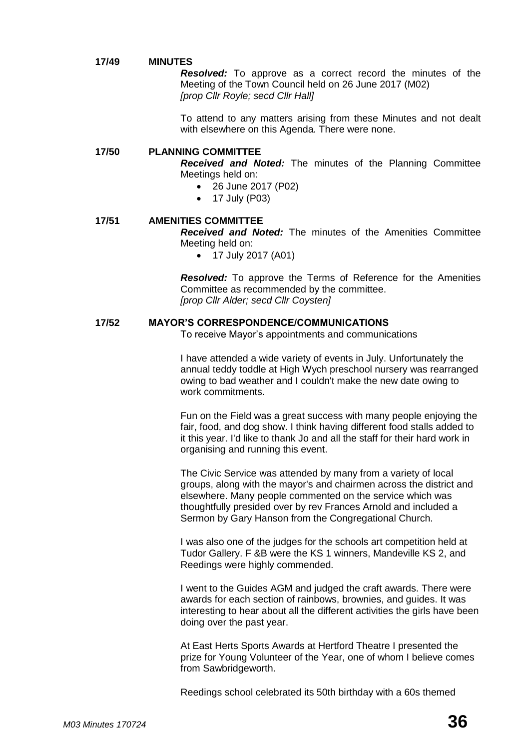#### **17/49 MINUTES**

*Resolved:* To approve as a correct record the minutes of the Meeting of the Town Council held on 26 June 2017 (M02) *[prop Cllr Royle; secd Cllr Hall]* 

To attend to any matters arising from these Minutes and not dealt with elsewhere on this Agenda. There were none.

#### **17/50 PLANNING COMMITTEE**

*Received and Noted:* The minutes of the Planning Committee Meetings held on:

- 26 June 2017 (P02)
- 17 July (P03)

#### **17/51 AMENITIES COMMITTEE**

*Received and Noted:* The minutes of the Amenities Committee Meeting held on:

17 July 2017 (A01)

*Resolved:* To approve the Terms of Reference for the Amenities Committee as recommended by the committee. *[prop Cllr Alder; secd Cllr Coysten]* 

#### **17/52 MAYOR'S CORRESPONDENCE/COMMUNICATIONS**

To receive Mayor's appointments and communications

I have attended a wide variety of events in July. Unfortunately the annual teddy toddle at High Wych preschool nursery was rearranged owing to bad weather and I couldn't make the new date owing to work commitments.

Fun on the Field was a great success with many people enjoying the fair, food, and dog show. I think having different food stalls added to it this year. I'd like to thank Jo and all the staff for their hard work in organising and running this event.

The Civic Service was attended by many from a variety of local groups, along with the mayor's and chairmen across the district and elsewhere. Many people commented on the service which was thoughtfully presided over by rev Frances Arnold and included a Sermon by Gary Hanson from the Congregational Church.

I was also one of the judges for the schools art competition held at Tudor Gallery. F &B were the KS 1 winners, Mandeville KS 2, and Reedings were highly commended.

I went to the Guides AGM and judged the craft awards. There were awards for each section of rainbows, brownies, and guides. It was interesting to hear about all the different activities the girls have been doing over the past year.

At East Herts Sports Awards at Hertford Theatre I presented the prize for Young Volunteer of the Year, one of whom I believe comes from Sawbridgeworth.

Reedings school celebrated its 50th birthday with a 60s themed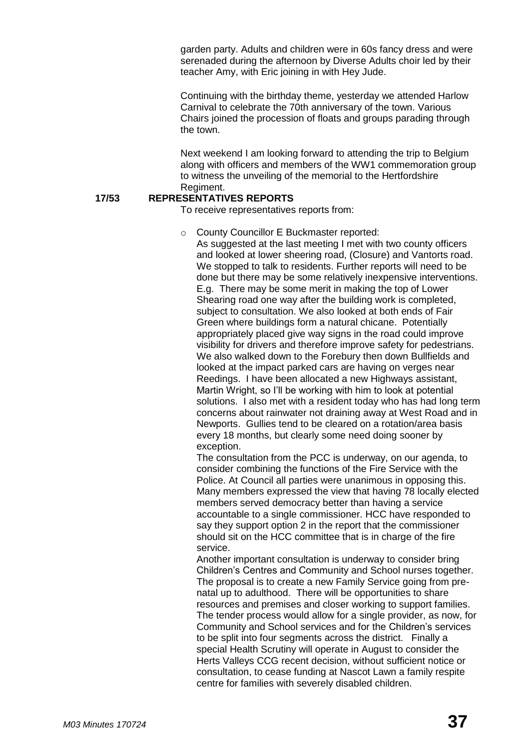garden party. Adults and children were in 60s fancy dress and were serenaded during the afternoon by Diverse Adults choir led by their teacher Amy, with Eric joining in with Hey Jude.

Continuing with the birthday theme, yesterday we attended Harlow Carnival to celebrate the 70th anniversary of the town. Various Chairs joined the procession of floats and groups parading through the town.

Next weekend I am looking forward to attending the trip to Belgium along with officers and members of the WW1 commemoration group to witness the unveiling of the memorial to the Hertfordshire Regiment.

#### **17/53 REPRESENTATIVES REPORTS**

To receive representatives reports from:

o County Councillor E Buckmaster reported:

As suggested at the last meeting I met with two county officers and looked at lower sheering road, (Closure) and Vantorts road. We stopped to talk to residents. Further reports will need to be done but there may be some relatively inexpensive interventions. E.g. There may be some merit in making the top of Lower Shearing road one way after the building work is completed, subject to consultation. We also looked at both ends of Fair Green where buildings form a natural chicane. Potentially appropriately placed give way signs in the road could improve visibility for drivers and therefore improve safety for pedestrians. We also walked down to the Forebury then down Bullfields and looked at the impact parked cars are having on verges near Reedings. I have been allocated a new Highways assistant, Martin Wright, so I'll be working with him to look at potential solutions. I also met with a resident today who has had long term concerns about rainwater not draining away at West Road and in Newports. Gullies tend to be cleared on a rotation/area basis every 18 months, but clearly some need doing sooner by exception.

The consultation from the PCC is underway, on our agenda, to consider combining the functions of the Fire Service with the Police. At Council all parties were unanimous in opposing this. Many members expressed the view that having 78 locally elected members served democracy better than having a service accountable to a single commissioner. HCC have responded to say they support option 2 in the report that the commissioner should sit on the HCC committee that is in charge of the fire service.

Another important consultation is underway to consider bring Children's Centres and Community and School nurses together. The proposal is to create a new Family Service going from prenatal up to adulthood. There will be opportunities to share resources and premises and closer working to support families. The tender process would allow for a single provider, as now, for Community and School services and for the Children's services to be split into four segments across the district. Finally a special Health Scrutiny will operate in August to consider the Herts Valleys CCG recent decision, without sufficient notice or consultation, to cease funding at Nascot Lawn a family respite centre for families with severely disabled children.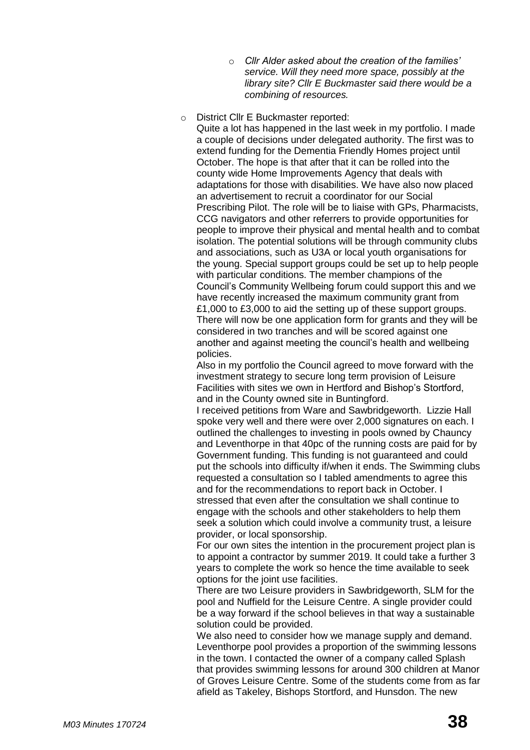- o *Cllr Alder asked about the creation of the families' service. Will they need more space, possibly at the library site? Cllr E Buckmaster said there would be a combining of resources.*
- o District Cllr E Buckmaster reported:

Quite a lot has happened in the last week in my portfolio. I made a couple of decisions under delegated authority. The first was to extend funding for the Dementia Friendly Homes project until October. The hope is that after that it can be rolled into the county wide Home Improvements Agency that deals with adaptations for those with disabilities. We have also now placed an advertisement to recruit a coordinator for our Social Prescribing Pilot. The role will be to liaise with GPs, Pharmacists, CCG navigators and other referrers to provide opportunities for people to improve their physical and mental health and to combat isolation. The potential solutions will be through community clubs and associations, such as U3A or local youth organisations for the young. Special support groups could be set up to help people with particular conditions. The member champions of the Council's Community Wellbeing forum could support this and we have recently increased the maximum community grant from £1,000 to £3,000 to aid the setting up of these support groups. There will now be one application form for grants and they will be considered in two tranches and will be scored against one another and against meeting the council's health and wellbeing policies.

Also in my portfolio the Council agreed to move forward with the investment strategy to secure long term provision of Leisure Facilities with sites we own in Hertford and Bishop's Stortford, and in the County owned site in Buntingford.

I received petitions from Ware and Sawbridgeworth. Lizzie Hall spoke very well and there were over 2,000 signatures on each. I outlined the challenges to investing in pools owned by Chauncy and Leventhorpe in that 40pc of the running costs are paid for by Government funding. This funding is not guaranteed and could put the schools into difficulty if/when it ends. The Swimming clubs requested a consultation so I tabled amendments to agree this and for the recommendations to report back in October. I stressed that even after the consultation we shall continue to engage with the schools and other stakeholders to help them seek a solution which could involve a community trust, a leisure provider, or local sponsorship.

For our own sites the intention in the procurement project plan is to appoint a contractor by summer 2019. It could take a further 3 years to complete the work so hence the time available to seek options for the joint use facilities.

There are two Leisure providers in Sawbridgeworth, SLM for the pool and Nuffield for the Leisure Centre. A single provider could be a way forward if the school believes in that way a sustainable solution could be provided.

We also need to consider how we manage supply and demand. Leventhorpe pool provides a proportion of the swimming lessons in the town. I contacted the owner of a company called Splash that provides swimming lessons for around 300 children at Manor of Groves Leisure Centre. Some of the students come from as far afield as Takeley, Bishops Stortford, and Hunsdon. The new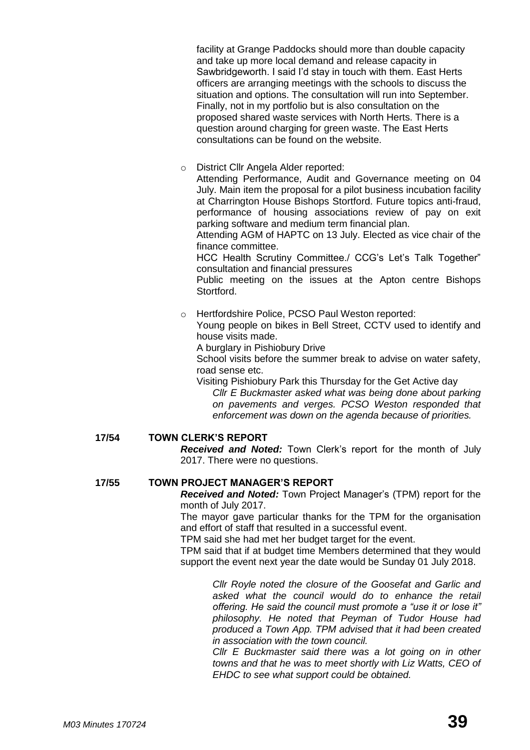facility at Grange Paddocks should more than double capacity and take up more local demand and release capacity in Sawbridgeworth. I said I'd stay in touch with them. East Herts officers are arranging meetings with the schools to discuss the situation and options. The consultation will run into September. Finally, not in my portfolio but is also consultation on the proposed shared waste services with North Herts. There is a question around charging for green waste. The East Herts consultations can be found on the website.

o District Cllr Angela Alder reported:

Attending Performance, Audit and Governance meeting on 04 July. Main item the proposal for a pilot business incubation facility at Charrington House Bishops Stortford. Future topics anti-fraud, performance of housing associations review of pay on exit parking software and medium term financial plan.

Attending AGM of HAPTC on 13 July. Elected as vice chair of the finance committee.

HCC Health Scrutiny Committee./ CCG's Let's Talk Together" consultation and financial pressures

Public meeting on the issues at the Apton centre Bishops Stortford.

o Hertfordshire Police, PCSO Paul Weston reported: Young people on bikes in Bell Street, CCTV used to identify and house visits made.

A burglary in Pishiobury Drive

School visits before the summer break to advise on water safety, road sense etc.

Visiting Pishiobury Park this Thursday for the Get Active day *Cllr E Buckmaster asked what was being done about parking on pavements and verges. PCSO Weston responded that enforcement was down on the agenda because of priorities.*

#### **17/54 TOWN CLERK'S REPORT**

*Received and Noted:* Town Clerk's report for the month of July 2017. There were no questions.

#### **17/55 TOWN PROJECT MANAGER'S REPORT**

*Received and Noted:* Town Project Manager's (TPM) report for the month of July 2017.

The mayor gave particular thanks for the TPM for the organisation and effort of staff that resulted in a successful event.

TPM said she had met her budget target for the event.

TPM said that if at budget time Members determined that they would support the event next year the date would be Sunday 01 July 2018.

> *Cllr Royle noted the closure of the Goosefat and Garlic and asked what the council would do to enhance the retail offering. He said the council must promote a "use it or lose it" philosophy. He noted that Peyman of Tudor House had produced a Town App. TPM advised that it had been created in association with the town council.*

> *Cllr E Buckmaster said there was a lot going on in other towns and that he was to meet shortly with Liz Watts, CEO of EHDC to see what support could be obtained.*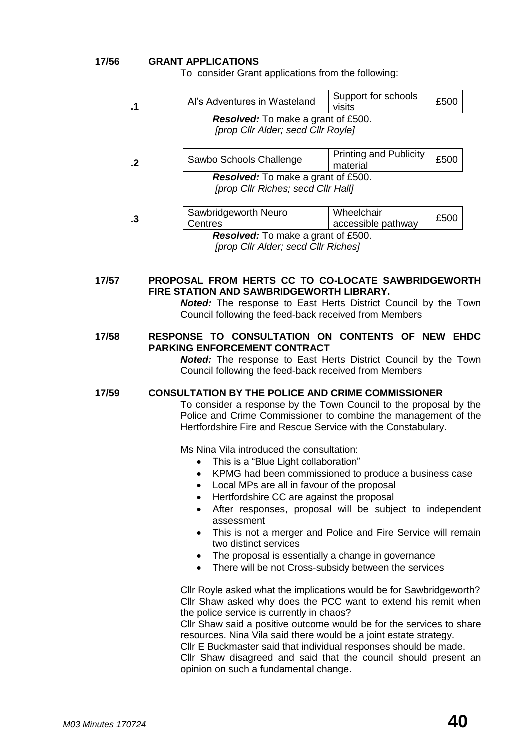#### **17/56 GRANT APPLICATIONS**

To consider Grant applications from the following:

| .1                                                          | Al's Adventures in Wasteland                                          | Support for schools<br>visits             | £500 |  |  |
|-------------------------------------------------------------|-----------------------------------------------------------------------|-------------------------------------------|------|--|--|
|                                                             | <b>Resolved:</b> To make a grant of £500.                             |                                           |      |  |  |
|                                                             | [prop Cllr Alder; secd Cllr Royle]                                    |                                           |      |  |  |
|                                                             |                                                                       |                                           |      |  |  |
| $\cdot$                                                     | Sawbo Schools Challenge                                               | <b>Printing and Publicity</b><br>material | £500 |  |  |
|                                                             | <b>Resolved:</b> To make a grant of £500.                             |                                           |      |  |  |
|                                                             | [prop Cllr Riches; secd Cllr Hall]                                    |                                           |      |  |  |
|                                                             |                                                                       |                                           |      |  |  |
| $\cdot$ 3                                                   | Sawbridgeworth Neuro                                                  | Wheelchair                                | £500 |  |  |
|                                                             | Centres                                                               | accessible pathway                        |      |  |  |
|                                                             | <b>Resolved:</b> To make a grant of £500.                             |                                           |      |  |  |
|                                                             | [prop Cllr Alder; secd Cllr Riches]                                   |                                           |      |  |  |
|                                                             |                                                                       |                                           |      |  |  |
|                                                             |                                                                       |                                           |      |  |  |
| PROPOSAL FROM HERTS CC TO CO-LOCATE SAWBRIDGEWORTH<br>17/57 |                                                                       |                                           |      |  |  |
| FIRE STATION AND SAWBRIDGEWORTH LIBRARY.                    |                                                                       |                                           |      |  |  |
|                                                             | <b>Noted:</b> The response to East Herts District Council by the Town |                                           |      |  |  |
|                                                             | Council following the feed-back received from Members                 |                                           |      |  |  |

#### **17/58 RESPONSE TO CONSULTATION ON CONTENTS OF NEW EHDC PARKING ENFORCEMENT CONTRACT**

*Noted:* The response to East Herts District Council by the Town Council following the feed-back received from Members

**17/59 CONSULTATION BY THE POLICE AND CRIME COMMISSIONER**

To consider a response by the Town Council to the proposal by the Police and Crime Commissioner to combine the management of the Hertfordshire Fire and Rescue Service with the Constabulary.

Ms Nina Vila introduced the consultation:

- This is a "Blue Light collaboration"
- KPMG had been commissioned to produce a business case
- Local MPs are all in favour of the proposal
- Hertfordshire CC are against the proposal
- After responses, proposal will be subject to independent assessment
- This is not a merger and Police and Fire Service will remain two distinct services
- The proposal is essentially a change in governance
- There will be not Cross-subsidy between the services

Cllr Royle asked what the implications would be for Sawbridgeworth? Cllr Shaw asked why does the PCC want to extend his remit when the police service is currently in chaos?

Cllr Shaw said a positive outcome would be for the services to share resources. Nina Vila said there would be a joint estate strategy.

Cllr E Buckmaster said that individual responses should be made.

Cllr Shaw disagreed and said that the council should present an opinion on such a fundamental change.